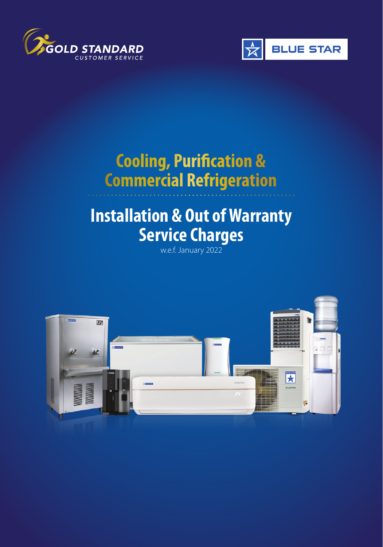



## **Cooling, Purification & Commercial Refrigeration**

# **Installation & Out of Warranty**  Service Charges

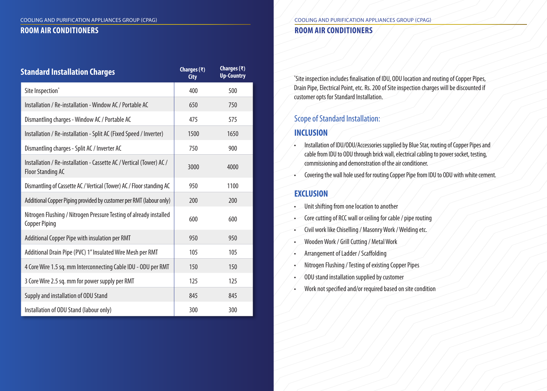| <b>Standard Installation Charges</b>                                                             | Charges $(\bar{x})$<br><b>City</b> | Charges $(\bar{x})$<br><b>Up-Country</b> |
|--------------------------------------------------------------------------------------------------|------------------------------------|------------------------------------------|
| Site Inspection*                                                                                 | 400                                | 500                                      |
| Installation / Re-installation - Window AC / Portable AC                                         | 650                                | 750                                      |
| Dismantling charges - Window AC / Portable AC                                                    | 475                                | 575                                      |
| Installation / Re-installation - Split AC (Fixed Speed / Inverter)                               | 1500                               | 1650                                     |
| Dismantling charges - Split AC / Inverter AC                                                     | 750                                | 900                                      |
| Installation / Re-installation - Cassette AC / Vertical (Tower) AC /<br><b>Floor Standing AC</b> | 3000                               | 4000                                     |
| Dismantling of Cassette AC / Vertical (Tower) AC / Floor standing AC                             | 950                                | 1100                                     |
| Additional Copper Piping provided by customer per RMT (labour only)                              | 200                                | 200                                      |
| Nitrogen Flushing / Nitrogen Pressure Testing of already installed<br><b>Copper Piping</b>       | 600                                | 600                                      |
| Additional Copper Pipe with insulation per RMT                                                   | 950                                | 950                                      |
| Additional Drain Pipe (PVC) 1" Insulated Wire Mesh per RMT                                       | 105                                | 105                                      |
| 4 Core Wire 1.5 sq. mm Interconnecting Cable IDU - ODU per RMT                                   | 150                                | 150                                      |
| 3 Core Wire 2.5 sq. mm for power supply per RMT                                                  | 125                                | 125                                      |
| Supply and installation of ODU Stand                                                             | 845                                | 845                                      |
| Installation of ODU Stand (labour only)                                                          | 300                                | 300                                      |

### COOLING AND PURIFICATION APPLIANCES GROUP (CPAG) **ROOM AIR CONDITIONERS ROOM AIR CONDITIONERS**

\* Site inspection includes finalisation of IDU, ODU location and routing of Copper Pipes, Drain Pipe, Electrical Point, etc. Rs. 200 of Site inspection charges will be discounted if customer opts for Standard Installation.

## Scope of Standard Installation:

#### **INCLUSION**

- Installation of IDU/ODU/Accessories supplied by Blue Star, routing of Copper Pipes and cable from IDU to ODU through brick wall, electrical cabling to power socket, testing, commissioning and demonstration of the air conditioner.
- Covering the wall hole used for routing Copper Pipe from IDU to ODU with white cement.

#### **EXCLUSION**

- Unit shifting from one location to another
- Core cutting of RCC wall or ceiling for cable / pipe routing
- Civil work like Chiselling / Masonry Work / Welding etc.
- Wooden Work / Grill Cutting / Metal Work
- Arrangement of Ladder / Scaffolding
- Nitrogen Flushing / Testing of existing Copper Pipes
- ODU stand installation supplied by customer
- Work not specified and/or required based on site condition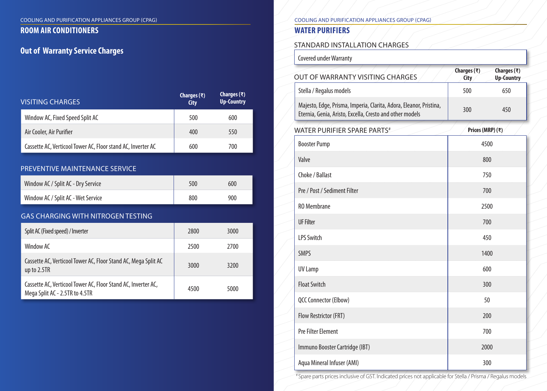#### **ROOM AIR CONDITIONERS**

# **Out of Warranty Service Charges** State Charges State Charges State Charges State Charges State Charges State Charges State Charges State Charges State Charges State Charges State Charges State Charges State Charges State

| <b>VISITING CHARGES</b>                                                                         | Charges $(\bar{x})$<br><b>City</b> | Charges $(\bar{x})$<br><b>Up-Country</b> |
|-------------------------------------------------------------------------------------------------|------------------------------------|------------------------------------------|
| Window AC, Fixed Speed Split AC                                                                 | 500                                | 600                                      |
| Air Cooler, Air Purifier                                                                        | 400                                | 550                                      |
| Cassette AC, Verticool Tower AC, Floor stand AC, Inverter AC                                    | 600                                | 700                                      |
| PREVENTIVE MAINTENANCE SERVICE                                                                  |                                    |                                          |
| Window AC / Split AC - Dry Service                                                              | 500                                | 600                                      |
| Window AC / Split AC - Wet Service                                                              | 800                                | 900                                      |
| <b>GAS CHARGING WITH NITROGEN TESTING</b>                                                       |                                    |                                          |
| Split AC (Fixed speed) / Inverter                                                               | 2800                               | 3000                                     |
| Window AC                                                                                       | 2500                               | 2700                                     |
| Cassette AC, Verticool Tower AC, Floor Stand AC, Mega Split AC<br>up to 2.5TR                   | 3000                               | 3200                                     |
| Cassette AC, Verticool Tower AC, Floor Stand AC, Inverter AC,<br>Mega Split AC - 2.5TR to 4.5TR | 4500                               | 5000                                     |

#### COOLING AND PURIFICATION APPLIANCES GROUP (CPAG) COOLING AND PURIFICATION APPLIANCES GROUP (CPAG)

## **WATER PURIFIERS**

Covered under Warranty

| <b>OUT OF WARRANTY VISITING CHARGES</b>                                                                                        | Charges $(\overline{\tau})$<br>City | Charges $(\bar{x})$<br><b>Up-Country</b> |
|--------------------------------------------------------------------------------------------------------------------------------|-------------------------------------|------------------------------------------|
| Stella / Regalus models                                                                                                        | 500                                 | 650                                      |
| Majesto, Edge, Prisma, Imperia, Clarita, Adora, Eleanor, Pristina,<br>Eternia, Genia, Aristo, Excella, Cresto and other models | 300                                 | 450                                      |
| <b>WATER PURIFIER SPARE PARTS#</b>                                                                                             | Prices (MRP) (₹)                    |                                          |
| <b>Booster Pump</b>                                                                                                            | 4500                                |                                          |
| Valve                                                                                                                          | 800                                 |                                          |
| Choke / Ballast                                                                                                                | 750                                 |                                          |
| Pre / Post / Sediment Filter                                                                                                   | 700                                 |                                          |
| <b>RO</b> Membrane                                                                                                             | 2500                                |                                          |
| <b>UF Filter</b>                                                                                                               | 700                                 |                                          |
| <b>LPS Switch</b>                                                                                                              | 450                                 |                                          |
| <b>SMPS</b>                                                                                                                    | 1400                                |                                          |
| <b>UV Lamp</b>                                                                                                                 | 600                                 |                                          |
| <b>Float Switch</b>                                                                                                            | 300                                 |                                          |
| QCC Connector (Elbow)                                                                                                          | 50                                  |                                          |
| Flow Restrictor (FRT)                                                                                                          | 200                                 |                                          |
| <b>Pre Filter Element</b>                                                                                                      | 700                                 |                                          |
| Immuno Booster Cartridge (IBT)                                                                                                 | 2000                                |                                          |
| Aqua Mineral Infuser (AMI)                                                                                                     | 300                                 |                                          |

# Spare parts prices inclusive of GST. Indicated prices not applicable for Stella / Prisma / Regalus models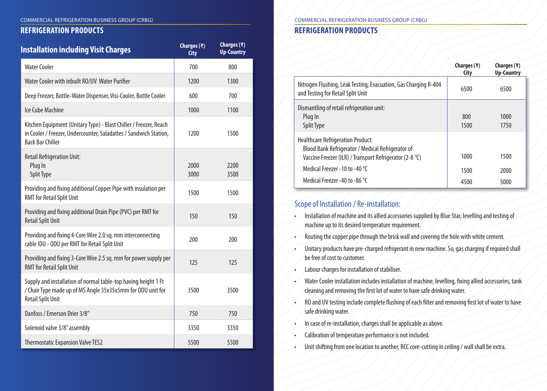#### **REFRIGERATION PRODUCTS**

| <b>Installation including Visit Charges</b>                                                                                                                       | Charges $(\bar{x})$<br><b>City</b> | Charges $(\bar{x})$<br><b>Up-Country</b> |
|-------------------------------------------------------------------------------------------------------------------------------------------------------------------|------------------------------------|------------------------------------------|
| <b>Water Cooler</b>                                                                                                                                               | 700                                | 800                                      |
| Water Cooler with inbuilt RO/UV Water Purifier                                                                                                                    | 1200                               | 1300                                     |
| Deep Freezer, Bottle-Water Dispenser, Visi-Cooler, Bottle Cooler                                                                                                  | 600                                | 700                                      |
| Ice Cube Machine                                                                                                                                                  | 1000                               | 1100                                     |
| Kitchen Equipment (Unitary Type) - Blast Chiller / Freezer, Reach<br>in Cooler / Freezer, Undercounter, Saladattes / Sandwich Station,<br><b>Back Bar Chiller</b> | 1200                               | 1500                                     |
| <b>Retail Refrigeration Unit:</b><br>Plug In<br><b>Split Type</b>                                                                                                 | 2000<br>3000                       | 2200<br>3500                             |
| Providing and fixing additional Copper Pipe with insulation per<br><b>RMT</b> for Retail Split Unit                                                               | 1500                               | 1500                                     |
| Providing and fixing additional Drain Pipe (PVC) per RMT for<br><b>Retail Split Unit</b>                                                                          | 150                                | 150                                      |
| Providing and fixing 4-Core Wire 2.0 sq. mm interconnecting<br>cable IDU - ODU per RMT for Retail Split Unit                                                      | 200                                | 200                                      |
| Providing and fixing 3-Core Wire 2.5 sq. mm for power supply per<br><b>RMT</b> for Retail Split Unit                                                              | 125                                | 125                                      |
| Supply and installation of normal table-top having height 1 Ft<br>/ Chair Type made up of MS Angle 35x35x5mm for ODU unit for<br><b>Retail Split Unit</b>         | 3500                               | 3500                                     |
| Danfoss / Emerson Drier 3/8"                                                                                                                                      | 750                                | 750                                      |
| Solenoid valve 3/8" assembly                                                                                                                                      | 3350                               | 3350                                     |
| <b>Thermostatic Expansion Valve TES2</b>                                                                                                                          | 5500                               | 5500                                     |

#### COMMERCIAL REFRIGERATION BUSINESS GROUP (CRBG)

## **REFRIGERATION PRODUCTS**

|                                                                                                                                                   | Charges $(\bar{x})$<br>City | Charges $(\bar{x})$<br><b>Up-Country</b> |
|---------------------------------------------------------------------------------------------------------------------------------------------------|-----------------------------|------------------------------------------|
| Nitrogen Flushing, Leak Testing, Evacuation, Gas Charging R-404<br>and Testing for Retail Split Unit                                              | 6500                        | 6500                                     |
| Dismantling of retail refrigeration unit:<br>Plug In<br>Split Type                                                                                | 800<br>1500                 | 1000<br>1750                             |
| Healthcare Refrigeration Product:<br>Blood Bank Refrigerator / Medical Refrigerator of<br>Vaccine Freezer (ILR) / Transport Refrigerator (2-8 °C) | 1000                        | 1500                                     |
| Medical Freezer -10 to -40 °C                                                                                                                     | 1500                        | 2000                                     |
| Medical Freezer -40 to -86 °C                                                                                                                     | 4500                        | 5000                                     |

### Scope of Installation / Re-installation:

- Installation of machine and its allied accessories supplied by Blue Star, levelling and testing of machine up to its desired temperature requirement.
- Routing the copper pipe through the brick wall and covering the hole with white cement.
- Unitary products have pre-charged refrigerant in new machine. So, gas charging if required shall be free of cost to customer.
- Labour charges for installation of stabiliser.
- Water Cooler installation includes installation of machine, levelling, fixing allied accessories, tank cleaning and removing the first lot of water to have safe drinking water.
- RO and UV testing include complete flushing of each filter and removing first lot of water to have safe drinking water.
- In case of re-installation, charges shall be applicable as above.
- Calibration of temperature performance is not included.
- Unit shifting from one location to another, RCC core-cutting in ceiling / wall shall be extra.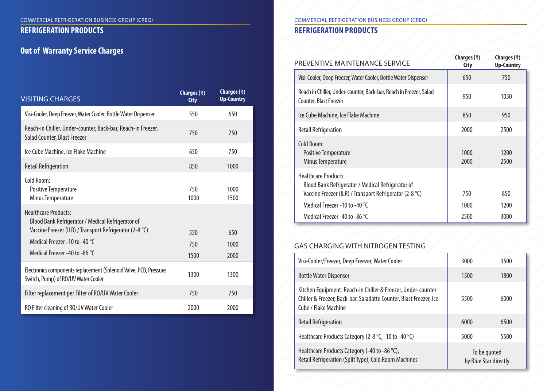#### **REFRIGERATION PRODUCTS**

## **Out of Warranty Service Charges**

| <b>VISITING CHARGES</b>                                                                                                                                                                                       | Charges $(\bar{x})$<br><b>City</b> | Charges $(\bar{x})$<br><b>Up-Country</b> |
|---------------------------------------------------------------------------------------------------------------------------------------------------------------------------------------------------------------|------------------------------------|------------------------------------------|
| Visi-Cooler, Deep Freezer, Water Cooler, Bottle Water Dispenser                                                                                                                                               | 550                                | 650                                      |
| Reach-in Chiller, Under-counter, Back-bar, Reach-in Freezer,<br>Salad Counter, Blast Freezer                                                                                                                  | 750                                | 750                                      |
| Ice Cube Machine, Ice Flake Machine                                                                                                                                                                           | 650                                | 750                                      |
| <b>Retail Refrigeration</b>                                                                                                                                                                                   | 850                                | 1000                                     |
| Cold Room:<br>Positive Temperature<br>Minus Temperature                                                                                                                                                       | 750<br>1000                        | 1000<br>1500                             |
| <b>Healthcare Products:</b><br>Blood Bank Refrigerator / Medical Refrigerator of<br>Vaccine Freezer (ILR) / Transport Refrigerator (2-8 °C)<br>Medical Freezer -10 to -40 °C<br>Medical Freezer -40 to -86 °C | 550<br>750<br>1500                 | 650<br>1000<br>2000                      |
| Electronics components replacement (Solenoid Valve, PCB, Pressure<br>Switch, Pump) of RO/UV Water Cooler                                                                                                      | 1300                               | 1300                                     |
| Filter replacement per Filter of RO/UV Water Cooler                                                                                                                                                           | 750                                | 750                                      |
| RO Filter cleaning of RO/UV Water Cooler                                                                                                                                                                      | 2000                               | 2000                                     |

#### COMMERCIAL REFRIGERATION BUSINESS GROUP (CRBG)

### **REFRIGERATION PRODUCTS**

| PREVENTIVE MAINTENANCE SERVICE                                                                                                              | Charges $(\bar{x})$<br>City | Charges $(\bar{x})$<br><b>Up-Country</b> |
|---------------------------------------------------------------------------------------------------------------------------------------------|-----------------------------|------------------------------------------|
| Visi-Cooler, Deep Freezer, Water Cooler, Bottle Water Dispenser                                                                             | 650                         | 750                                      |
| Reach in Chiller, Under-counter, Back-bar, Reach in Freezer, Salad<br><b>Counter, Blast Freezer</b>                                         | 950                         | 1050                                     |
| Ice Cube Machine, Ice Flake Machine                                                                                                         | 850                         | 950                                      |
| <b>Retail Refrigeration</b>                                                                                                                 | 2000                        | 2500                                     |
| Cold Room:<br><b>Positive Temperature</b><br>Minus Temperature                                                                              | 1000<br>2000                | 1200<br>2500                             |
| <b>Healthcare Products:</b><br>Blood Bank Refrigerator / Medical Refrigerator of<br>Vaccine Freezer (ILR) / Transport Refrigerator (2-8 °C) | 750                         | 850                                      |
| Medical Freezer -10 to -40 °C                                                                                                               | 1000                        | 1200                                     |
| Medical Freezer -40 to -86 °C                                                                                                               | 2500                        | 3000                                     |

#### GAS CHARGING WITH NITROGEN TESTING

| Visi-Cooler/Freezer, Deep Freezer, Water Cooler                                                                                                            | 3000                                  | 3500 |
|------------------------------------------------------------------------------------------------------------------------------------------------------------|---------------------------------------|------|
| <b>Bottle Water Dispenser</b>                                                                                                                              | 1500                                  | 1800 |
| Kitchen Equipment: Reach-in Chiller & Freezer, Under-counter<br>Chiller & Freezer, Back-bar, Saladatte Counter, Blast Freezer, Ice<br>Cube / Flake Machine | 5500                                  | 6000 |
| <b>Retail Refrigeration</b>                                                                                                                                | 6000                                  | 6500 |
| Healthcare Products Category (2-8 °C, -10 to -40 °C)                                                                                                       | 5000                                  | 5500 |
| Healthcare Products Category (-40 to -86 $^{\circ}$ C),<br>Retail Refrigeration (Split Type), Cold Room Machines                                           | To be quoted<br>by Blue Star directly |      |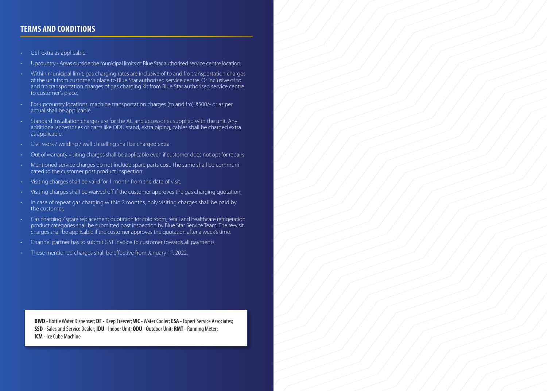#### **TERMS AND CONDITIONS**

- GST extra as applicable.
- Upcountry Areas outside the municipal limits of Blue Star authorised service centre location.
- Within municipal limit, gas charging rates are inclusive of to and fro transportation charges of the unit from customer's place to Blue Star authorised service centre. Or inclusive of to and fro transportation charges of gas charging kit from Blue Star authorised service centre to customer's place.
- For upcountry locations, machine transportation charges (to and fro) ₹500/- or as per actual shall be applicable.
- Standard installation charges are for the AC and accessories supplied with the unit. Any additional accessories or parts like ODU stand, extra piping, cables shall be charged extra as applicable.
- Civil work / welding / wall chiselling shall be charged extra.
- Out of warranty visiting charges shall be applicable even if customer does not opt for repairs.
- Mentioned service charges do not include spare parts cost. The same shall be communicated to the customer post product inspection.
- Visiting charges shall be valid for 1 month from the date of visit.
- Visiting charges shall be waived off if the customer approves the gas charging quotation.
- In case of repeat gas charging within 2 months, only visiting charges shall be paid by the customer.
- Gas charging / spare replacement quotation for cold room, retail and healthcare refrigeration product categories shall be submitted post inspection by Blue Star Service Team. The re-visit charges shall be applicable if the customer approves the quotation after a week's time.
- Channel partner has to submit GST invoice to customer towards all payments.
- These mentioned charges shall be effective from January 1st, 2022.

**BWD** - Bottle Water Dispenser; **DF** - Deep Freezer; **WC** - Water Cooler; **ESA** - Expert Service Associates; **SSD** - Sales and Service Dealer; **IDU** - Indoor Unit; **ODU** - Outdoor Unit; **RMT** - Running Meter; **ICM** - Ice Cube Machine